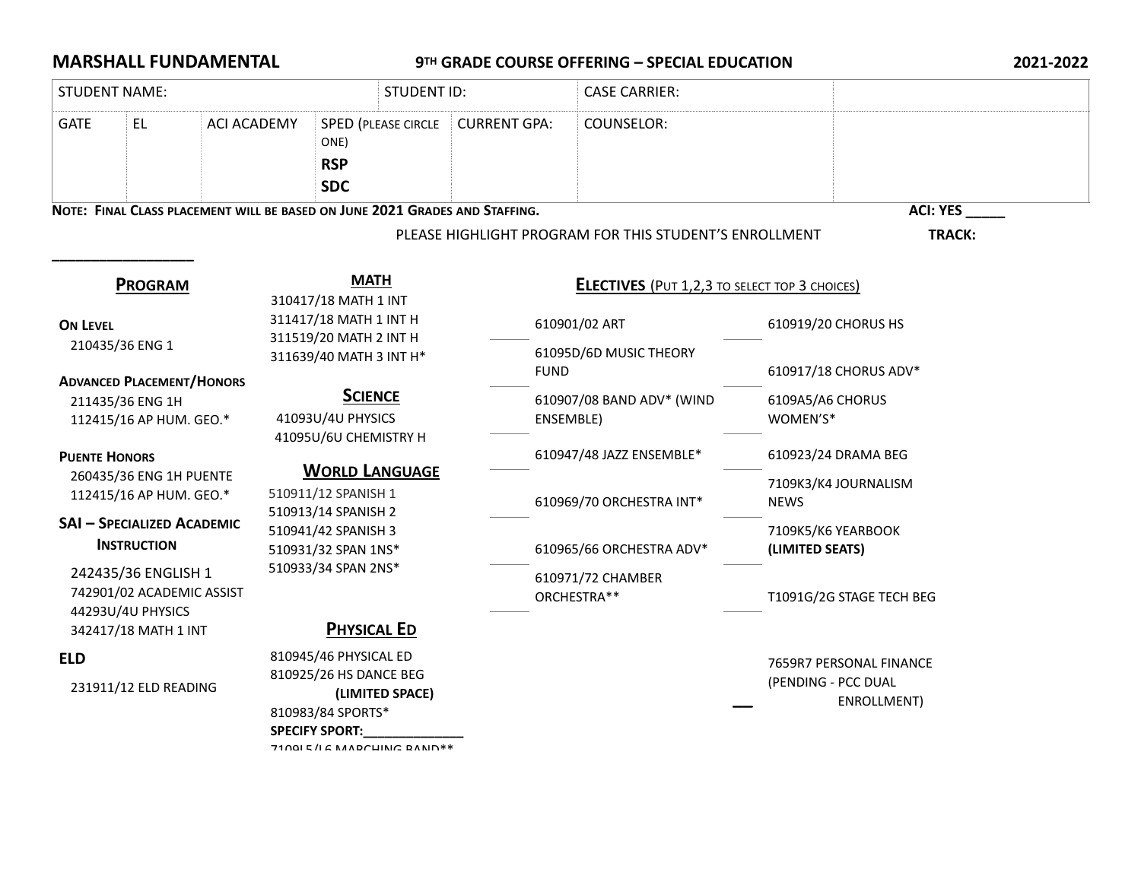## **MARSHALL FUNDAMENTAL** 9TH GRADE COURSE OFFERING – SPECIAL EDUCATION 2021-2022

| <b>STUDENT NAME:</b> |                                                                                                                                                                                                                |                                     |                                                                |                                                                                                                                     | <b>STUDENT ID:</b>                                   |                     |                                        | <b>CASE CARRIER:</b>                                   |                                        |                              |  |  |
|----------------------|----------------------------------------------------------------------------------------------------------------------------------------------------------------------------------------------------------------|-------------------------------------|----------------------------------------------------------------|-------------------------------------------------------------------------------------------------------------------------------------|------------------------------------------------------|---------------------|----------------------------------------|--------------------------------------------------------|----------------------------------------|------------------------------|--|--|
| <b>GATE</b>          | <b>EL</b>                                                                                                                                                                                                      | <b>ACI ACADEMY</b>                  | <b>SPED (PLEASE CIRCLE</b><br>ONE)<br><b>RSP</b><br><b>SDC</b> |                                                                                                                                     |                                                      | <b>CURRENT GPA:</b> |                                        | COUNSELOR:                                             |                                        |                              |  |  |
|                      | NOTE: FINAL CLASS PLACEMENT WILL BE BASED ON JUNE 2021 GRADES AND STAFFING.                                                                                                                                    |                                     |                                                                |                                                                                                                                     |                                                      |                     |                                        |                                                        |                                        | <b>ACI: YES</b>              |  |  |
|                      |                                                                                                                                                                                                                |                                     |                                                                |                                                                                                                                     |                                                      |                     |                                        | PLEASE HIGHLIGHT PROGRAM FOR THIS STUDENT'S ENROLLMENT |                                        | TRACK:                       |  |  |
|                      | <b>PROGRAM</b>                                                                                                                                                                                                 | <b>MATH</b><br>310417/18 MATH 1 INT |                                                                |                                                                                                                                     | <b>ELECTIVES</b> (PUT 1,2,3 TO SELECT TOP 3 CHOICES) |                     |                                        |                                                        |                                        |                              |  |  |
| <b>ON LEVEL</b>      |                                                                                                                                                                                                                |                                     |                                                                | 311417/18 MATH 1 INT H<br>311519/20 MATH 2 INT H                                                                                    |                                                      |                     |                                        | 610901/02 ART                                          |                                        | 610919/20 CHORUS HS          |  |  |
|                      | 210435/36 ENG 1                                                                                                                                                                                                |                                     |                                                                | 311639/40 MATH 3 INT H*                                                                                                             |                                                      |                     | 61095D/6D MUSIC THEORY<br><b>FUND</b>  |                                                        | 610917/18 CHORUS ADV*                  |                              |  |  |
|                      | <b>ADVANCED PLACEMENT/HONORS</b><br>211435/36 ENG 1H<br>112415/16 AP HUM. GEO.*                                                                                                                                |                                     |                                                                | <b>SCIENCE</b><br>41093U/4U PHYSICS<br>41095U/6U CHEMISTRY H<br><b>WORLD LANGUAGE</b><br>510911/12 SPANISH 1<br>510913/14 SPANISH 2 |                                                      |                     | 610907/08 BAND ADV* (WIND<br>ENSEMBLE) |                                                        |                                        | 6109A5/A6 CHORUS<br>WOMEN'S* |  |  |
|                      | <b>PUENTE HONORS</b><br>260435/36 ENG 1H PUENTE<br>112415/16 AP HUM. GEO.*<br><b>SAI - SPECIALIZED ACADEMIC</b><br><b>INSTRUCTION</b><br>242435/36 ENGLISH 1<br>742901/02 ACADEMIC ASSIST<br>44293U/4U PHYSICS |                                     |                                                                |                                                                                                                                     |                                                      |                     | 610947/48 JAZZ ENSEMBLE*               |                                                        |                                        | 610923/24 DRAMA BEG          |  |  |
|                      |                                                                                                                                                                                                                |                                     |                                                                |                                                                                                                                     |                                                      |                     |                                        | 610969/70 ORCHESTRA INT*                               | 7109K3/K4 JOURNALISM<br><b>NEWS</b>    |                              |  |  |
|                      |                                                                                                                                                                                                                |                                     |                                                                | 510941/42 SPANISH 3<br>510931/32 SPAN 1NS*                                                                                          |                                                      |                     |                                        | 610965/66 ORCHESTRA ADV*                               | 7109K5/K6 YEARBOOK<br>(LIMITED SEATS)  |                              |  |  |
|                      |                                                                                                                                                                                                                |                                     |                                                                | 510933/34 SPAN 2NS*                                                                                                                 |                                                      |                     |                                        | 610971/72 CHAMBER<br>ORCHESTRA**                       |                                        | T1091G/2G STAGE TECH BEG     |  |  |
|                      | 342417/18 MATH 1 INT                                                                                                                                                                                           |                                     | <b>PHYSICAL ED</b>                                             |                                                                                                                                     |                                                      |                     |                                        |                                                        |                                        |                              |  |  |
| <b>ELD</b>           | 810945/46 PHYSICAL ED<br>810925/26 HS DANCE BEG<br>231911/12 ELD READING<br>(LIMITED SPACE)<br>810983/84 SPORTS*<br><b>SPECIFY SPORT:</b><br>71001 E /I G MADCUING DAND **                                     |                                     |                                                                |                                                                                                                                     |                                                      |                     |                                        | (PENDING - PCC DUAL                                    | 7659R7 PERSONAL FINANCE<br>ENROLLMENT) |                              |  |  |